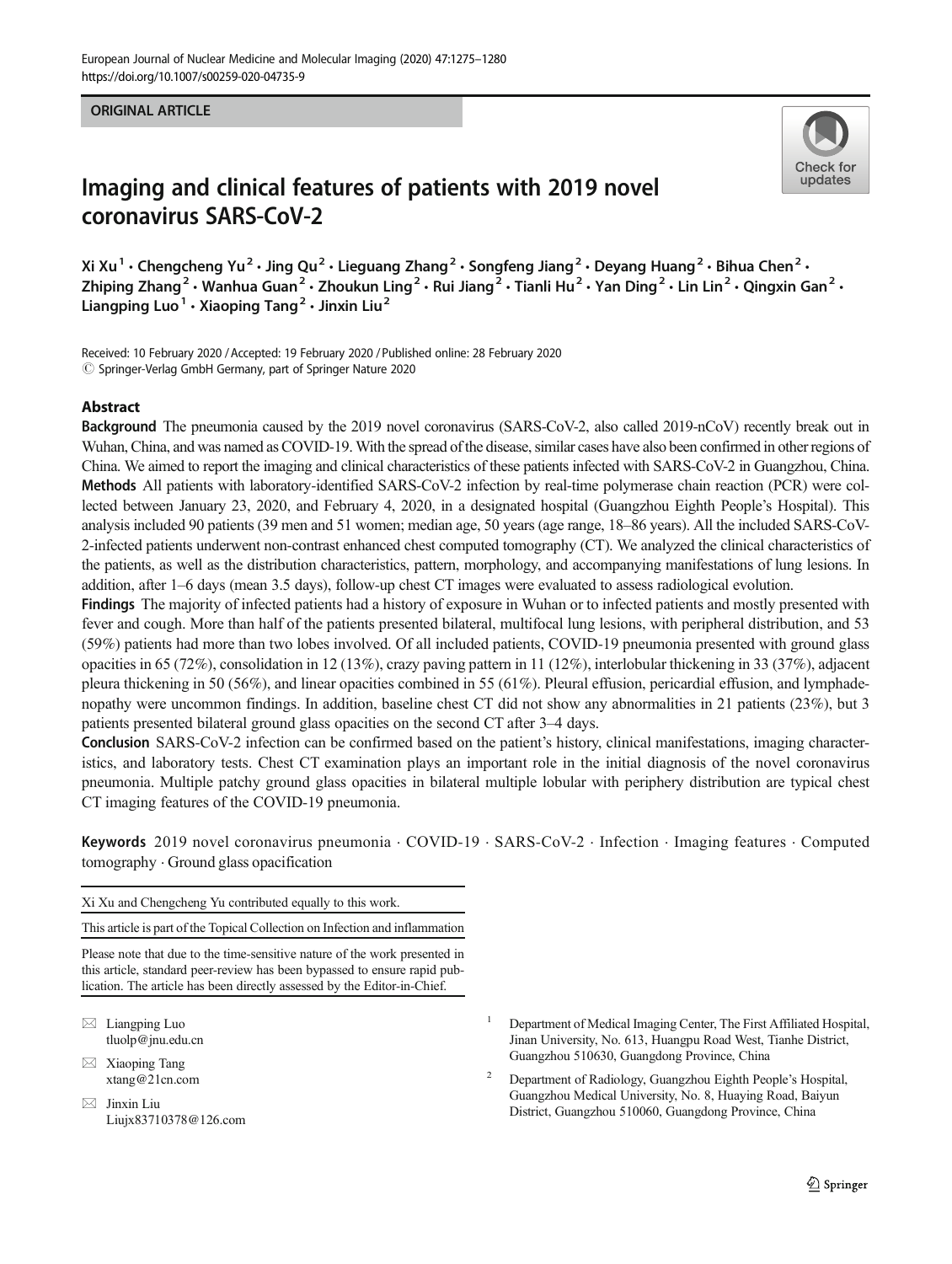ORIGINAL ARTICLE



# Imaging and clinical features of patients with 2019 novel coronavirus SARS-CoV-2

Xi Xu<sup>1</sup> • Chengcheng Yu<sup>2</sup> • Jing Qu<sup>2</sup> • Lieguang Zhang<sup>2</sup> • Songfeng Jiang<sup>2</sup> • Deyang Huang<sup>2</sup> • Bihua Chen<sup>2</sup> • Zhiping Zhang<sup>2</sup> • Wanhua Guan<sup>2</sup> • Zhoukun Ling<sup>2</sup> • Rui Jiang<sup>2</sup> • Tianli Hu<sup>2</sup> • Yan Ding<sup>2</sup> • Lin Lin<sup>2</sup> • Qingxin Gan<sup>2</sup> • Liangping Luo<sup>1</sup> · Xiaoping Tang<sup>2</sup> · Jinxin Liu<sup>2</sup>

Received: 10 February 2020 /Accepted: 19 February 2020 /Published online: 28 February 2020  $\odot$  Springer-Verlag GmbH Germany, part of Springer Nature 2020

#### Abstract

Background The pneumonia caused by the 2019 novel coronavirus (SARS-CoV-2, also called 2019-nCoV) recently break out in Wuhan, China, and was named as COVID-19. With the spread of the disease, similar cases have also been confirmed in other regions of China. We aimed to report the imaging and clinical characteristics of these patients infected with SARS-CoV-2 in Guangzhou, China. Methods All patients with laboratory-identified SARS-CoV-2 infection by real-time polymerase chain reaction (PCR) were collected between January 23, 2020, and February 4, 2020, in a designated hospital (Guangzhou Eighth People's Hospital). This analysis included 90 patients (39 men and 51 women; median age, 50 years (age range, 18–86 years). All the included SARS-CoV-2-infected patients underwent non-contrast enhanced chest computed tomography (CT). We analyzed the clinical characteristics of the patients, as well as the distribution characteristics, pattern, morphology, and accompanying manifestations of lung lesions. In addition, after 1–6 days (mean 3.5 days), follow-up chest CT images were evaluated to assess radiological evolution.

Findings The majority of infected patients had a history of exposure in Wuhan or to infected patients and mostly presented with fever and cough. More than half of the patients presented bilateral, multifocal lung lesions, with peripheral distribution, and 53 (59%) patients had more than two lobes involved. Of all included patients, COVID-19 pneumonia presented with ground glass opacities in 65 (72%), consolidation in 12 (13%), crazy paving pattern in 11 (12%), interlobular thickening in 33 (37%), adjacent pleura thickening in 50 (56%), and linear opacities combined in 55 (61%). Pleural effusion, pericardial effusion, and lymphadenopathy were uncommon findings. In addition, baseline chest CT did not show any abnormalities in 21 patients (23%), but 3 patients presented bilateral ground glass opacities on the second CT after 3–4 days.

Conclusion SARS-CoV-2 infection can be confirmed based on the patient's history, clinical manifestations, imaging characteristics, and laboratory tests. Chest CT examination plays an important role in the initial diagnosis of the novel coronavirus pneumonia. Multiple patchy ground glass opacities in bilateral multiple lobular with periphery distribution are typical chest CT imaging features of the COVID-19 pneumonia.

Keywords 2019 novel coronavirus pneumonia . COVID-19 . SARS-CoV-2 . Infection . Imaging features . Computed tomography . Ground glass opacification

Xi Xu and Chengcheng Yu contributed equally to this work.

This article is part of the Topical Collection on Infection and inflammation

Please note that due to the time-sensitive nature of the work presented in this article, standard peer-review has been bypassed to ensure rapid publication. The article has been directly assessed by the Editor-in-Chief.

 $\boxtimes$  Liangping Luo [tluolp@jnu.edu.cn](mailto:tluolp@jnu.edu.cn)

- $\boxtimes$  Xiaoping Tang [xtang@21cn.com](mailto:xtang@21cn.com)
- $\boxtimes$  Jinxin Liu [Liujx83710378@126.com](mailto:Liujx83710378@126.com)
- <sup>1</sup> Department of Medical Imaging Center, The First Affiliated Hospital, Jinan University, No. 613, Huangpu Road West, Tianhe District, Guangzhou 510630, Guangdong Province, China
- <sup>2</sup> Department of Radiology, Guangzhou Eighth People's Hospital, Guangzhou Medical University, No. 8, Huaying Road, Baiyun District, Guangzhou 510060, Guangdong Province, China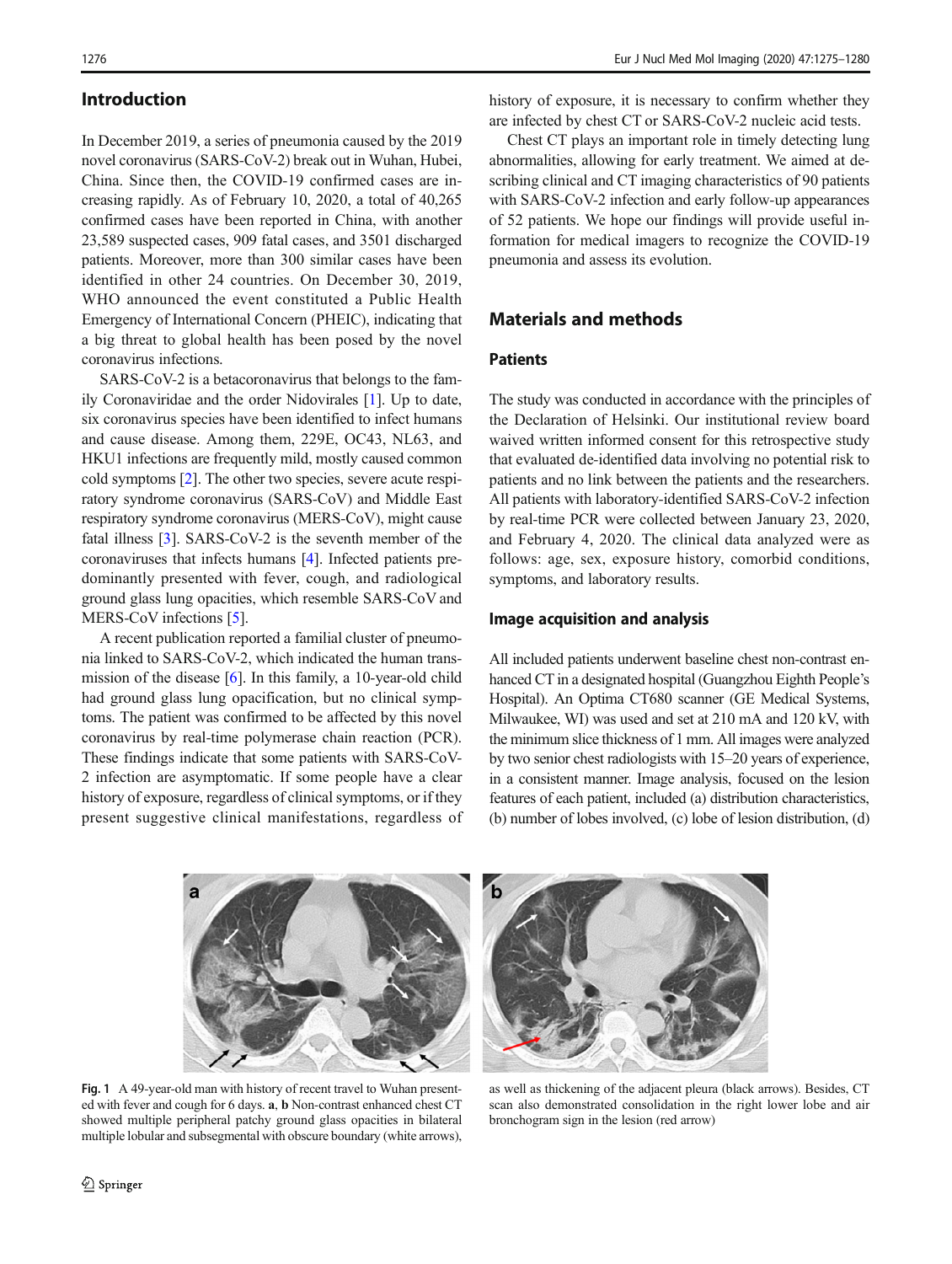### <span id="page-1-0"></span>Introduction

In December 2019, a series of pneumonia caused by the 2019 novel coronavirus (SARS-CoV-2) break out in Wuhan, Hubei, China. Since then, the COVID-19 confirmed cases are increasing rapidly. As of February 10, 2020, a total of 40,265 confirmed cases have been reported in China, with another 23,589 suspected cases, 909 fatal cases, and 3501 discharged patients. Moreover, more than 300 similar cases have been identified in other 24 countries. On December 30, 2019, WHO announced the event constituted a Public Health Emergency of International Concern (PHEIC), indicating that a big threat to global health has been posed by the novel coronavirus infections.

SARS-CoV-2 is a betacoronavirus that belongs to the family Coronaviridae and the order Nidovirales [[1\]](#page-4-0). Up to date, six coronavirus species have been identified to infect humans and cause disease. Among them, 229E, OC43, NL63, and HKU1 infections are frequently mild, mostly caused common cold symptoms [[2](#page-4-0)]. The other two species, severe acute respiratory syndrome coronavirus (SARS-CoV) and Middle East respiratory syndrome coronavirus (MERS-CoV), might cause fatal illness [\[3](#page-4-0)]. SARS-CoV-2 is the seventh member of the coronaviruses that infects humans [[4](#page-4-0)]. Infected patients predominantly presented with fever, cough, and radiological ground glass lung opacities, which resemble SARS-CoV and MERS-CoV infections [\[5](#page-4-0)].

A recent publication reported a familial cluster of pneumonia linked to SARS-CoV-2, which indicated the human transmission of the disease [[6\]](#page-4-0). In this family, a 10-year-old child had ground glass lung opacification, but no clinical symptoms. The patient was confirmed to be affected by this novel coronavirus by real-time polymerase chain reaction (PCR). These findings indicate that some patients with SARS-CoV-2 infection are asymptomatic. If some people have a clear history of exposure, regardless of clinical symptoms, or if they present suggestive clinical manifestations, regardless of

history of exposure, it is necessary to confirm whether they are infected by chest CT or SARS-CoV-2 nucleic acid tests.

Chest CT plays an important role in timely detecting lung abnormalities, allowing for early treatment. We aimed at describing clinical and CT imaging characteristics of 90 patients with SARS-CoV-2 infection and early follow-up appearances of 52 patients. We hope our findings will provide useful information for medical imagers to recognize the COVID-19 pneumonia and assess its evolution.

# Materials and methods

## **Patients**

The study was conducted in accordance with the principles of the Declaration of Helsinki. Our institutional review board waived written informed consent for this retrospective study that evaluated de-identified data involving no potential risk to patients and no link between the patients and the researchers. All patients with laboratory-identified SARS-CoV-2 infection by real-time PCR were collected between January 23, 2020, and February 4, 2020. The clinical data analyzed were as follows: age, sex, exposure history, comorbid conditions, symptoms, and laboratory results.

#### Image acquisition and analysis

All included patients underwent baseline chest non-contrast enhanced CT in a designated hospital (Guangzhou Eighth People's Hospital). An Optima CT680 scanner (GE Medical Systems, Milwaukee, WI) was used and set at 210 mA and 120 kV, with the minimum slice thickness of 1 mm. All images were analyzed by two senior chest radiologists with 15–20 years of experience, in a consistent manner. Image analysis, focused on the lesion features of each patient, included (a) distribution characteristics, (b) number of lobes involved, (c) lobe of lesion distribution, (d)





Fig. 1 A 49-year-old man with history of recent travel to Wuhan presented with fever and cough for 6 days. a, b Non-contrast enhanced chest CT showed multiple peripheral patchy ground glass opacities in bilateral multiple lobular and subsegmental with obscure boundary (white arrows),

as well as thickening of the adjacent pleura (black arrows). Besides, CT scan also demonstrated consolidation in the right lower lobe and air bronchogram sign in the lesion (red arrow)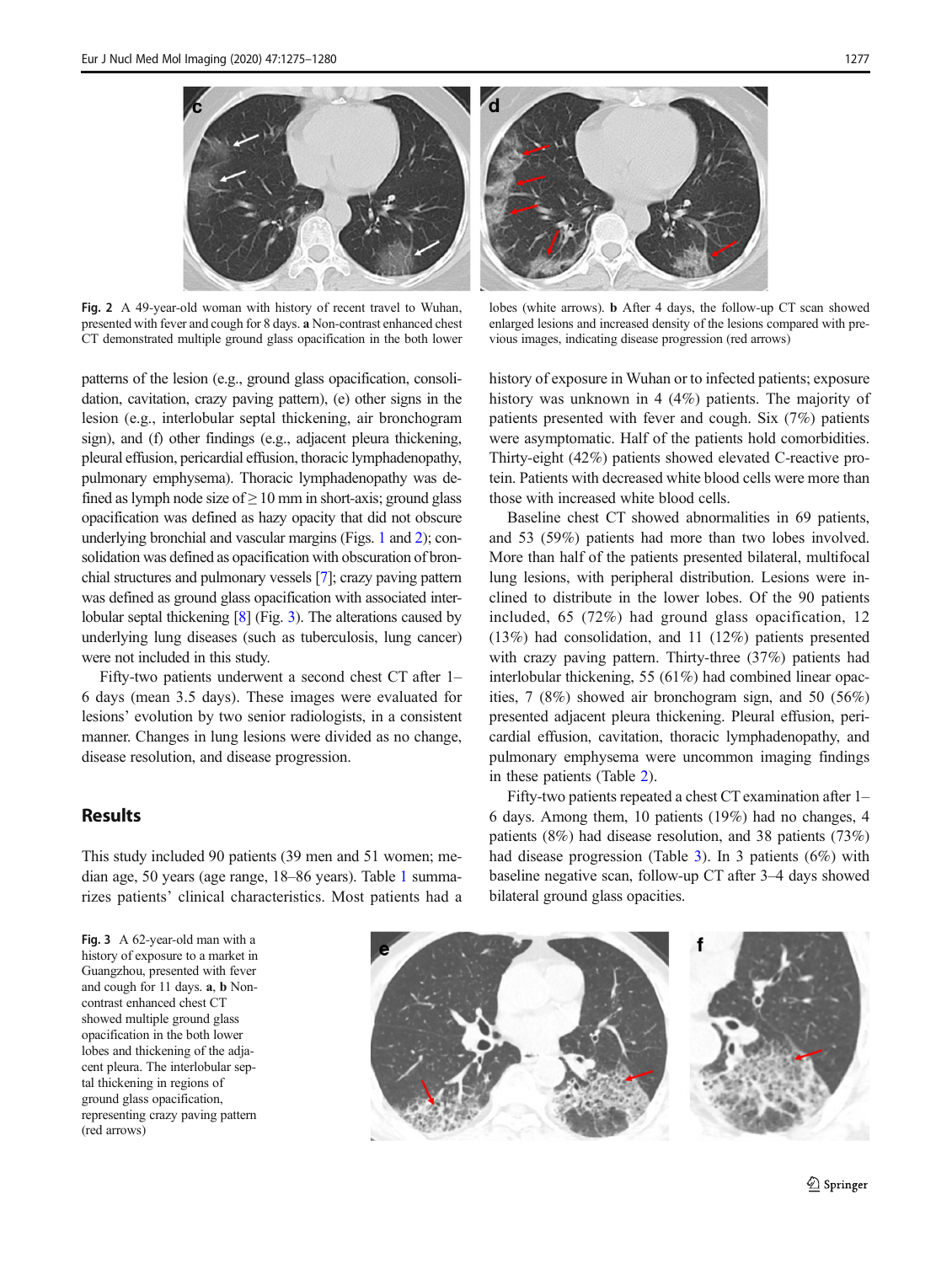

Fig. 2 A 49-year-old woman with history of recent travel to Wuhan, presented with fever and cough for 8 days. a Non-contrast enhanced chest CT demonstrated multiple ground glass opacification in the both lower

patterns of the lesion (e.g., ground glass opacification, consolidation, cavitation, crazy paving pattern), (e) other signs in the lesion (e.g., interlobular septal thickening, air bronchogram sign), and (f) other findings (e.g., adjacent pleura thickening, pleural effusion, pericardial effusion, thoracic lymphadenopathy, pulmonary emphysema). Thoracic lymphadenopathy was defined as lymph node size of  $\geq 10$  mm in short-axis; ground glass opacification was defined as hazy opacity that did not obscure underlying bronchial and vascular margins (Figs. [1](#page-1-0) and 2); consolidation was defined as opacification with obscuration of bronchial structures and pulmonary vessels [\[7](#page-5-0)]; crazy paving pattern was defined as ground glass opacification with associated interlobular septal thickening [\[8\]](#page-5-0) (Fig. 3). The alterations caused by underlying lung diseases (such as tuberculosis, lung cancer) were not included in this study.

Fifty-two patients underwent a second chest CT after 1– 6 days (mean 3.5 days). These images were evaluated for lesions' evolution by two senior radiologists, in a consistent manner. Changes in lung lesions were divided as no change, disease resolution, and disease progression.

# **Results**

This study included 90 patients (39 men and 51 women; median age, 50 years (age range, 18–86 years). Table [1](#page-3-0) summarizes patients' clinical characteristics. Most patients had a ď

lobes (white arrows). b After 4 days, the follow-up CT scan showed enlarged lesions and increased density of the lesions compared with previous images, indicating disease progression (red arrows)

history of exposure in Wuhan or to infected patients; exposure history was unknown in 4 (4%) patients. The majority of patients presented with fever and cough. Six (7%) patients were asymptomatic. Half of the patients hold comorbidities. Thirty-eight (42%) patients showed elevated C-reactive protein. Patients with decreased white blood cells were more than those with increased white blood cells.

Baseline chest CT showed abnormalities in 69 patients, and 53 (59%) patients had more than two lobes involved. More than half of the patients presented bilateral, multifocal lung lesions, with peripheral distribution. Lesions were inclined to distribute in the lower lobes. Of the 90 patients included, 65 (72%) had ground glass opacification, 12 (13%) had consolidation, and 11 (12%) patients presented with crazy paving pattern. Thirty-three (37%) patients had interlobular thickening, 55 (61%) had combined linear opacities, 7 (8%) showed air bronchogram sign, and 50 (56%) presented adjacent pleura thickening. Pleural effusion, pericardial effusion, cavitation, thoracic lymphadenopathy, and pulmonary emphysema were uncommon imaging findings in these patients (Table [2\)](#page-3-0).

Fifty-two patients repeated a chest CT examination after 1– 6 days. Among them, 10 patients (19%) had no changes, 4 patients (8%) had disease resolution, and 38 patients (73%) had disease progression (Table [3](#page-4-0)). In 3 patients (6%) with baseline negative scan, follow-up CT after 3–4 days showed bilateral ground glass opacities.

Fig. 3 A 62-year-old man with a history of exposure to a market in Guangzhou, presented with fever and cough for 11 days. a, b Noncontrast enhanced chest CT showed multiple ground glass opacification in the both lower lobes and thickening of the adjacent pleura. The interlobular septal thickening in regions of ground glass opacification, representing crazy paving pattern (red arrows)

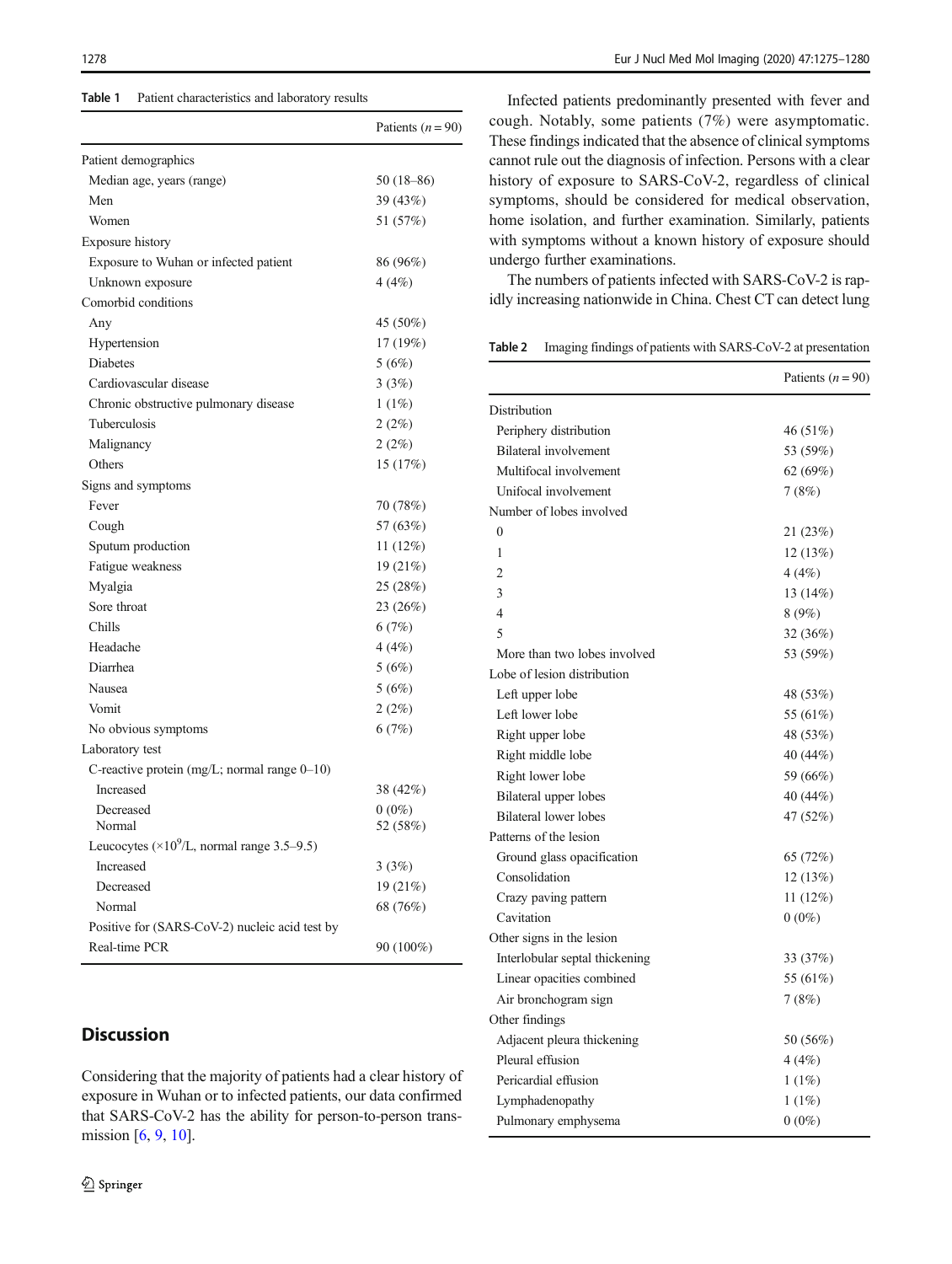#### <span id="page-3-0"></span>Table 1 Patient characteristics and laboratory results

|                                                      | Patients $(n = 90)$ |
|------------------------------------------------------|---------------------|
| Patient demographics                                 |                     |
| Median age, years (range)                            | $50(18-86)$         |
| Men                                                  | 39 (43%)            |
| Women                                                | 51 (57%)            |
| Exposure history                                     |                     |
| Exposure to Wuhan or infected patient                | 86 (96%)            |
| Unknown exposure                                     | 4(4%)               |
| Comorbid conditions                                  |                     |
| Any                                                  | 45 (50%)            |
| Hypertension                                         | 17(19%)             |
| Diabetes                                             | 5(6%)               |
| Cardiovascular disease                               | 3(3%)               |
| Chronic obstructive pulmonary disease                | 1(1%)               |
| Tuberculosis                                         | 2(2%)               |
| Malignancy                                           | 2(2%)               |
| Others                                               | 15(17%)             |
| Signs and symptoms                                   |                     |
| Fever                                                | 70 (78%)            |
| Cough                                                | 57 (63%)            |
| Sputum production                                    | 11 $(12%)$          |
| Fatigue weakness                                     | 19(21%)             |
| Myalgia                                              | 25 (28%)            |
| Sore throat                                          | 23 (26%)            |
| Chills                                               | 6(7%)               |
| Headache                                             | 4(4%)               |
| Diarrhea                                             | 5(6%)               |
| Nausea                                               | 5(6%)               |
| Vomit                                                | 2(2%)               |
| No obvious symptoms                                  | 6(7%)               |
| Laboratory test                                      |                     |
| C-reactive protein $(mg/L;$ normal range $0-10$ )    |                     |
| Increased                                            | 38 (42\%)           |
| Decreased                                            | $0(0\%)$            |
| Normal                                               | 52 (58%)            |
| Leucocytes ( $\times 10^9$ /L, normal range 3.5–9.5) |                     |
| Increased                                            | 3(3%)               |
| Decreased                                            | 19 (21%)            |
| Normal                                               | 68 (76%)            |
| Positive for (SARS-CoV-2) nucleic acid test by       |                     |
| Real-time PCR                                        | 90 (100%)           |

# **Discussion**

Considering that the majority of patients had a clear history of exposure in Wuhan or to infected patients, our data confirmed that SARS-CoV-2 has the ability for person-to-person trans-mission [[6,](#page-4-0) [9,](#page-5-0) [10\]](#page-5-0).

Infected patients predominantly presented with fever and cough. Notably, some patients (7%) were asymptomatic. These findings indicated that the absence of clinical symptoms cannot rule out the diagnosis of infection. Persons with a clear history of exposure to SARS-CoV-2, regardless of clinical symptoms, should be considered for medical observation, home isolation, and further examination. Similarly, patients with symptoms without a known history of exposure should undergo further examinations.

The numbers of patients infected with SARS-CoV-2 is rapidly increasing nationwide in China. Chest CT can detect lung

Table 2 Imaging findings of patients with SARS-CoV-2 at presentation

|                                | Patients $(n = 90)$ |
|--------------------------------|---------------------|
| Distribution                   |                     |
| Periphery distribution         | 46 (51%)            |
| <b>Bilateral</b> involvement   | 53 (59%)            |
| Multifocal involvement         | 62 (69%)            |
| Unifocal involvement           | 7(8%)               |
| Number of lobes involved       |                     |
| $\theta$                       | 21 (23%)            |
| 1                              | 12(13%)             |
| $\overline{2}$                 | 4(4%)               |
| 3                              | 13 (14%)            |
| $\overline{\mathcal{L}}$       | 8 (9%)              |
| 5                              | 32 (36%)            |
| More than two lobes involved   | 53 (59%)            |
| Lobe of lesion distribution    |                     |
| Left upper lobe                | 48 (53%)            |
| Left lower lobe                | 55 (61%)            |
| Right upper lobe               | 48 (53%)            |
| Right middle lobe              | 40 (44%)            |
| Right lower lobe               | 59 (66%)            |
| Bilateral upper lobes          | 40 (44%)            |
| <b>Bilateral lower lobes</b>   | 47 (52%)            |
| Patterns of the lesion         |                     |
| Ground glass opacification     | 65 (72%)            |
| Consolidation                  | 12(13%)             |
| Crazy paving pattern           | 11(12%)             |
| Cavitation                     | $0(0\%)$            |
| Other signs in the lesion      |                     |
| Interlobular septal thickening | 33 (37%)            |
| Linear opacities combined      | 55 (61%)            |
| Air bronchogram sign           | 7(8%)               |
| Other findings                 |                     |
| Adjacent pleura thickening     | 50 (56%)            |
| Pleural effusion               | 4 (4%)              |
| Pericardial effusion           | 1(1%)               |
| Lymphadenopathy                | 1(1%)               |
| Pulmonary emphysema            | $0(0\%)$            |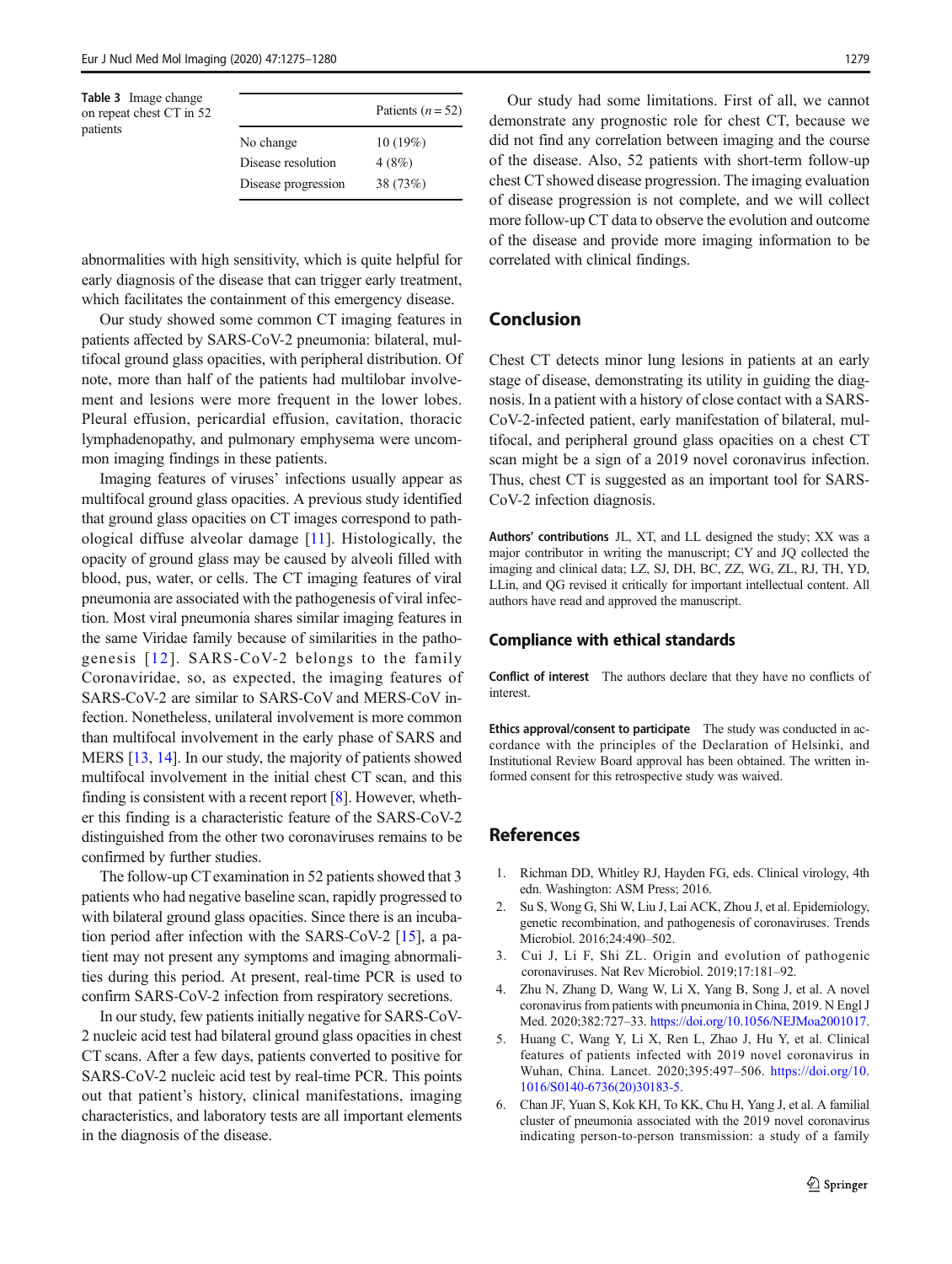pa

<span id="page-4-0"></span>

| Table 3 Image change<br>on repeat chest CT in 52<br>patients | Patients $(n = 52)$ |          |
|--------------------------------------------------------------|---------------------|----------|
|                                                              | No change           | 10(19%)  |
|                                                              | Disease resolution  | 4(8%)    |
|                                                              | Disease progression | 38 (73%) |

abnormalities with high sensitivity, which is quite helpful for early diagnosis of the disease that can trigger early treatment, which facilitates the containment of this emergency disease.

Our study showed some common CT imaging features in patients affected by SARS-CoV-2 pneumonia: bilateral, multifocal ground glass opacities, with peripheral distribution. Of note, more than half of the patients had multilobar involvement and lesions were more frequent in the lower lobes. Pleural effusion, pericardial effusion, cavitation, thoracic lymphadenopathy, and pulmonary emphysema were uncommon imaging findings in these patients.

Imaging features of viruses' infections usually appear as multifocal ground glass opacities. A previous study identified that ground glass opacities on CT images correspond to pathological diffuse alveolar damage [\[11\]](#page-5-0). Histologically, the opacity of ground glass may be caused by alveoli filled with blood, pus, water, or cells. The CT imaging features of viral pneumonia are associated with the pathogenesis of viral infection. Most viral pneumonia shares similar imaging features in the same Viridae family because of similarities in the patho-genesis [[12](#page-5-0)]. SARS-CoV-2 belongs to the family Coronaviridae, so, as expected, the imaging features of SARS-CoV-2 are similar to SARS-CoV and MERS-CoV infection. Nonetheless, unilateral involvement is more common than multifocal involvement in the early phase of SARS and MERS [\[13](#page-5-0), [14\]](#page-5-0). In our study, the majority of patients showed multifocal involvement in the initial chest CT scan, and this finding is consistent with a recent report [[8\]](#page-5-0). However, whether this finding is a characteristic feature of the SARS-CoV-2 distinguished from the other two coronaviruses remains to be confirmed by further studies.

The follow-up CT examination in 52 patients showed that 3 patients who had negative baseline scan, rapidly progressed to with bilateral ground glass opacities. Since there is an incubation period after infection with the SARS-CoV-2 [[15](#page-5-0)], a patient may not present any symptoms and imaging abnormalities during this period. At present, real-time PCR is used to confirm SARS-CoV-2 infection from respiratory secretions.

In our study, few patients initially negative for SARS-CoV-2 nucleic acid test had bilateral ground glass opacities in chest CT scans. After a few days, patients converted to positive for SARS-CoV-2 nucleic acid test by real-time PCR. This points out that patient's history, clinical manifestations, imaging characteristics, and laboratory tests are all important elements in the diagnosis of the disease.

Our study had some limitations. First of all, we cannot demonstrate any prognostic role for chest CT, because we did not find any correlation between imaging and the course of the disease. Also, 52 patients with short-term follow-up chest CT showed disease progression. The imaging evaluation of disease progression is not complete, and we will collect more follow-up CT data to observe the evolution and outcome of the disease and provide more imaging information to be correlated with clinical findings.

## Conclusion

Chest CT detects minor lung lesions in patients at an early stage of disease, demonstrating its utility in guiding the diagnosis. In a patient with a history of close contact with a SARS-CoV-2-infected patient, early manifestation of bilateral, multifocal, and peripheral ground glass opacities on a chest CT scan might be a sign of a 2019 novel coronavirus infection. Thus, chest CT is suggested as an important tool for SARS-CoV-2 infection diagnosis.

Authors' contributions JL, XT, and LL designed the study; XX was a major contributor in writing the manuscript; CY and JQ collected the imaging and clinical data; LZ, SJ, DH, BC, ZZ, WG, ZL, RJ, TH, YD, LLin, and QG revised it critically for important intellectual content. All authors have read and approved the manuscript.

#### Compliance with ethical standards

Conflict of interest The authors declare that they have no conflicts of interest.

Ethics approval/consent to participate The study was conducted in accordance with the principles of the Declaration of Helsinki, and Institutional Review Board approval has been obtained. The written informed consent for this retrospective study was waived.

### References

- 1. Richman DD, Whitley RJ, Hayden FG, eds. Clinical virology, 4th edn. Washington: ASM Press; 2016.
- 2. Su S, Wong G, Shi W, Liu J, Lai ACK, Zhou J, et al. Epidemiology, genetic recombination, and pathogenesis of coronaviruses. Trends Microbiol. 2016;24:490–502.
- 3. Cui J, Li F, Shi ZL. Origin and evolution of pathogenic coronaviruses. Nat Rev Microbiol. 2019;17:181–92.
- 4. Zhu N, Zhang D, Wang W, Li X, Yang B, Song J, et al. A novel coronavirus from patients with pneumonia in China, 2019. N Engl J Med. 2020;382:727–33. <https://doi.org/10.1056/NEJMoa2001017>.
- 5. Huang C, Wang Y, Li X, Ren L, Zhao J, Hu Y, et al. Clinical features of patients infected with 2019 novel coronavirus in Wuhan, China. Lancet. 2020;395:497–506. [https://doi.org/10.](https://doi.org/10.1016/S0140-6736(20)30183-5) [1016/S0140-6736\(20\)30183-5.](https://doi.org/10.1016/S0140-6736(20)30183-5)
- 6. Chan JF, Yuan S, Kok KH, To KK, Chu H, Yang J, et al. A familial cluster of pneumonia associated with the 2019 novel coronavirus indicating person-to-person transmission: a study of a family